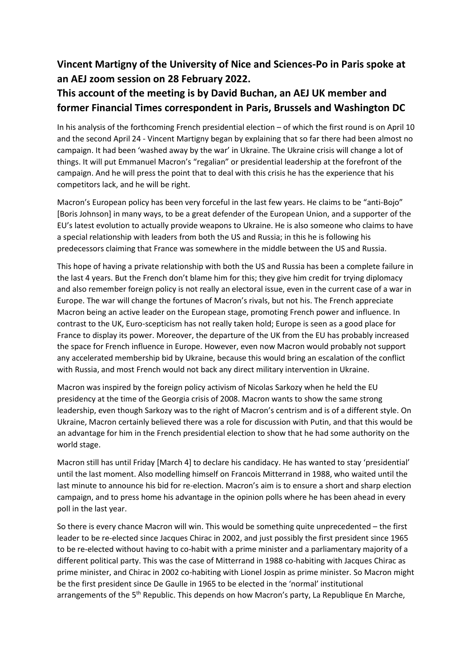## **Vincent Martigny of the University of Nice and Sciences-Po in Paris spoke at an AEJ zoom session on 28 February 2022.**

## **This account of the meeting is by David Buchan, an AEJ UK member and former Financial Times correspondent in Paris, Brussels and Washington DC**

In his analysis of the forthcoming French presidential election – of which the first round is on April 10 and the second April 24 - Vincent Martigny began by explaining that so far there had been almost no campaign. It had been 'washed away by the war' in Ukraine. The Ukraine crisis will change a lot of things. It will put Emmanuel Macron's "regalian" or presidential leadership at the forefront of the campaign. And he will press the point that to deal with this crisis he has the experience that his competitors lack, and he will be right.

Macron's European policy has been very forceful in the last few years. He claims to be "anti-Bojo" [Boris Johnson] in many ways, to be a great defender of the European Union, and a supporter of the EU's latest evolution to actually provide weapons to Ukraine. He is also someone who claims to have a special relationship with leaders from both the US and Russia; in this he is following his predecessors claiming that France was somewhere in the middle between the US and Russia.

This hope of having a private relationship with both the US and Russia has been a complete failure in the last 4 years. But the French don't blame him for this; they give him credit for trying diplomacy and also remember foreign policy is not really an electoral issue, even in the current case of a war in Europe. The war will change the fortunes of Macron's rivals, but not his. The French appreciate Macron being an active leader on the European stage, promoting French power and influence. In contrast to the UK, Euro-scepticism has not really taken hold; Europe is seen as a good place for France to display its power. Moreover, the departure of the UK from the EU has probably increased the space for French influence in Europe. However, even now Macron would probably not support any accelerated membership bid by Ukraine, because this would bring an escalation of the conflict with Russia, and most French would not back any direct military intervention in Ukraine.

Macron was inspired by the foreign policy activism of Nicolas Sarkozy when he held the EU presidency at the time of the Georgia crisis of 2008. Macron wants to show the same strong leadership, even though Sarkozy was to the right of Macron's centrism and is of a different style. On Ukraine, Macron certainly believed there was a role for discussion with Putin, and that this would be an advantage for him in the French presidential election to show that he had some authority on the world stage.

Macron still has until Friday [March 4] to declare his candidacy. He has wanted to stay 'presidential' until the last moment. Also modelling himself on Francois Mitterrand in 1988, who waited until the last minute to announce his bid for re-election. Macron's aim is to ensure a short and sharp election campaign, and to press home his advantage in the opinion polls where he has been ahead in every poll in the last year.

So there is every chance Macron will win. This would be something quite unprecedented – the first leader to be re-elected since Jacques Chirac in 2002, and just possibly the first president since 1965 to be re-elected without having to co-habit with a prime minister and a parliamentary majority of a different political party. This was the case of Mitterrand in 1988 co-habiting with Jacques Chirac as prime minister, and Chirac in 2002 co-habiting with Lionel Jospin as prime minister. So Macron might be the first president since De Gaulle in 1965 to be elected in the 'normal' institutional arrangements of the 5<sup>th</sup> Republic. This depends on how Macron's party, La Republique En Marche,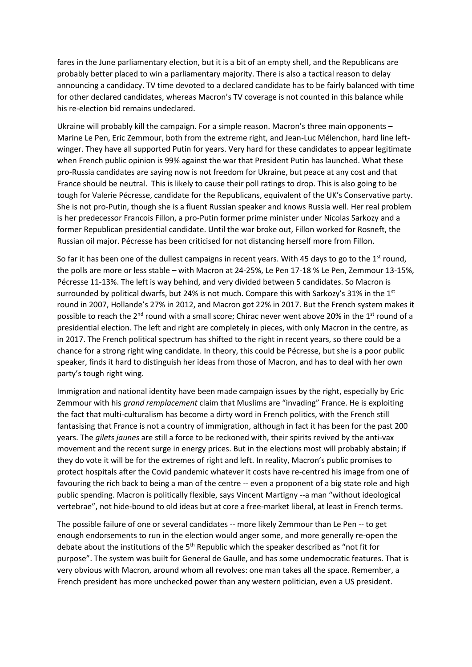fares in the June parliamentary election, but it is a bit of an empty shell, and the Republicans are probably better placed to win a parliamentary majority. There is also a tactical reason to delay announcing a candidacy. TV time devoted to a declared candidate has to be fairly balanced with time for other declared candidates, whereas Macron's TV coverage is not counted in this balance while his re-election bid remains undeclared.

Ukraine will probably kill the campaign. For a simple reason. Macron's three main opponents – Marine Le Pen, Eric Zemmour, both from the extreme right, and Jean-Luc Mélenchon, hard line leftwinger. They have all supported Putin for years. Very hard for these candidates to appear legitimate when French public opinion is 99% against the war that President Putin has launched. What these pro-Russia candidates are saying now is not freedom for Ukraine, but peace at any cost and that France should be neutral. This is likely to cause their poll ratings to drop. This is also going to be tough for Valerie Pécresse, candidate for the Republicans, equivalent of the UK's Conservative party. She is not pro-Putin, though she is a fluent Russian speaker and knows Russia well. Her real problem is her predecessor Francois Fillon, a pro-Putin former prime minister under Nicolas Sarkozy and a former Republican presidential candidate. Until the war broke out, Fillon worked for Rosneft, the Russian oil major. Pécresse has been criticised for not distancing herself more from Fillon.

So far it has been one of the dullest campaigns in recent years. With 45 days to go to the 1<sup>st</sup> round, the polls are more or less stable – with Macron at 24-25%, Le Pen 17-18 % Le Pen, Zemmour 13-15%, Pécresse 11-13%. The left is way behind, and very divided between 5 candidates. So Macron is surrounded by political dwarfs, but 24% is not much. Compare this with Sarkozy's 31% in the  $1^{st}$ round in 2007, Hollande's 27% in 2012, and Macron got 22% in 2017. But the French system makes it possible to reach the 2<sup>nd</sup> round with a small score; Chirac never went above 20% in the 1<sup>st</sup> round of a presidential election. The left and right are completely in pieces, with only Macron in the centre, as in 2017. The French political spectrum has shifted to the right in recent years, so there could be a chance for a strong right wing candidate. In theory, this could be Pécresse, but she is a poor public speaker, finds it hard to distinguish her ideas from those of Macron, and has to deal with her own party's tough right wing.

Immigration and national identity have been made campaign issues by the right, especially by Eric Zemmour with his *grand remplacement* claim that Muslims are "invading" France. He is exploiting the fact that multi-culturalism has become a dirty word in French politics, with the French still fantasising that France is not a country of immigration, although in fact it has been for the past 200 years. The *gilets jaunes* are still a force to be reckoned with, their spirits revived by the anti-vax movement and the recent surge in energy prices. But in the elections most will probably abstain; if they do vote it will be for the extremes of right and left. In reality, Macron's public promises to protect hospitals after the Covid pandemic whatever it costs have re-centred his image from one of favouring the rich back to being a man of the centre -- even a proponent of a big state role and high public spending. Macron is politically flexible, says Vincent Martigny --a man "without ideological vertebrae", not hide-bound to old ideas but at core a free-market liberal, at least in French terms.

The possible failure of one or several candidates -- more likely Zemmour than Le Pen -- to get enough endorsements to run in the election would anger some, and more generally re-open the debate about the institutions of the  $5<sup>th</sup>$  Republic which the speaker described as "not fit for purpose". The system was built for General de Gaulle, and has some undemocratic features. That is very obvious with Macron, around whom all revolves: one man takes all the space. Remember, a French president has more unchecked power than any western politician, even a US president.